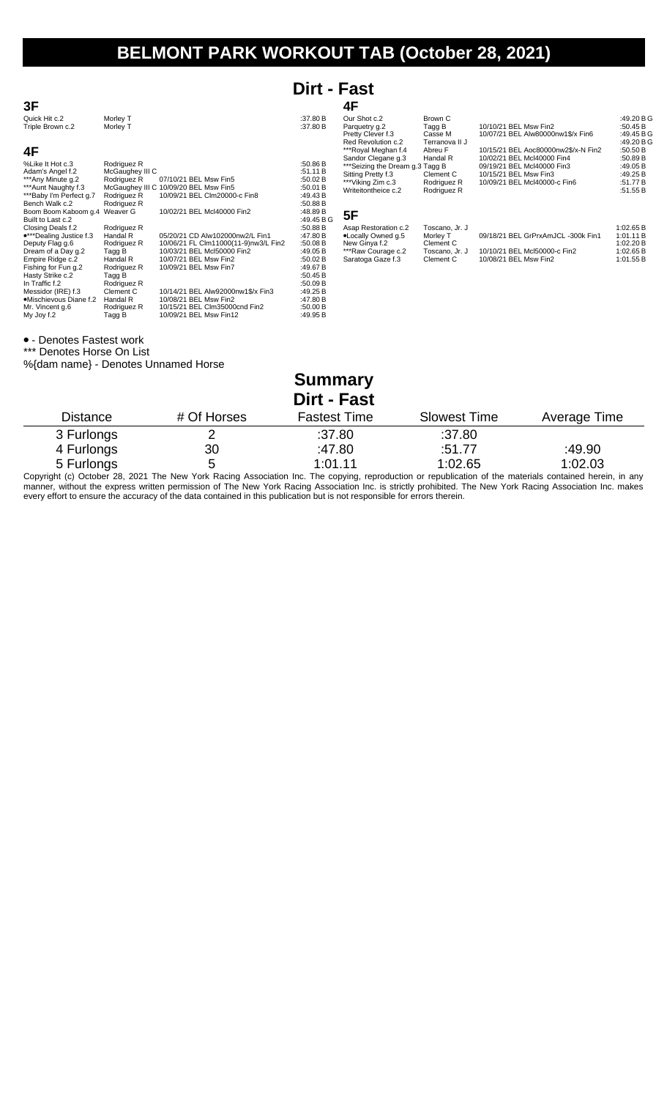# **BELMONT PARK WORKOUT TAB (October 28, 2021)**

### **Dirt - Fast**

| 3F                                                 |                      |                                       |                        | 4F                                                     |                           |                                                          |                          |
|----------------------------------------------------|----------------------|---------------------------------------|------------------------|--------------------------------------------------------|---------------------------|----------------------------------------------------------|--------------------------|
| Quick Hit c.2<br>Triple Brown c.2                  | Morley T<br>Morley T |                                       | :37.80 B<br>:37.80 B   | Our Shot c.2<br>Parquetry q.2                          | Brown C<br>Tagg B         | 10/10/21 BEL Msw Fin2                                    | :49.20 B G<br>:50.45 B   |
|                                                    |                      |                                       |                        | Pretty Clever f.3<br>Red Revolution c.2                | Casse M<br>Terranova II J | 10/07/21 BEL Alw80000nw1\$/x Fin6                        | :49.45 B G<br>:49.20 B G |
| 4F                                                 |                      |                                       |                        | ***Royal Meghan f.4                                    | Abreu F                   | 10/15/21 BEL Aoc80000nw2\$/x-N Fin2                      | :50.50 $B$               |
| %Like It Hot c.3                                   | Rodriguez R          |                                       | :50.86 B               | Sandor Clegane g.3<br>*** Seizing the Dream g.3 Tagg B | Handal R                  | 10/02/21 BEL Mcl40000 Fin4<br>09/19/21 BEL Mcl40000 Fin3 | :50.89 B<br>:49.05B      |
| Adam's Angel f.2                                   | McGaughey III C      |                                       | :51.11 B               | Sitting Pretty f.3                                     | Clement C                 | 10/15/21 BEL Msw Fin3                                    | :49.25 $B$               |
| ***Any Minute g.2                                  | Rodriguez R          | 07/10/21 BEL Msw Fin5                 | :50.02 B               | ***Viking Zim c.3                                      | Rodriguez R               | 10/09/21 BEL Mcl40000-c Fin6                             | :51.77B                  |
| *** Aunt Naughty f.3                               |                      | McGaughey III C 10/09/20 BEL Msw Fin5 | :50.01 B               | Writeitontheice c.2                                    | Rodriguez R               |                                                          | :51.55 B                 |
| ***Baby I'm Perfect g.7                            | Rodriguez R          | 10/09/21 BEL CIm20000-c Fin8          | :49.43 $B$             |                                                        |                           |                                                          |                          |
| Bench Walk c.2                                     | Rodriguez R          |                                       | :50.88 B               |                                                        |                           |                                                          |                          |
| Boom Boom Kaboom g.4 Weaver G<br>Built to Last c.2 |                      | 10/02/21 BEL Mcl40000 Fin2            | :48.89 B<br>:49.45 B G | 5F                                                     |                           |                                                          |                          |
| Closing Deals f.2                                  | Rodriguez R          |                                       | :50.88 B               | Asap Restoration c.2                                   | Toscano, Jr. J            |                                                          | 1:02.65 B                |
| •***Dealing Justice f.3                            | Handal R             | 05/20/21 CD Alw102000nw2/L Fin1       | :47.80 B               | .Locally Owned g.5                                     | Morley T                  | 09/18/21 BEL GrPrxAmJCL -300k Fin1                       | 1:01.11B                 |
| Deputy Flag g.6                                    | Rodriguez R          | 10/06/21 FL Clm11000(11-9)nw3/L Fin2  | :50.08 B               | New Ginya f.2                                          | Clement C                 |                                                          | 1:02.20 B                |
| Dream of a Day g.2                                 | Tagg B               | 10/03/21 BEL Mcl50000 Fin2            | :49.05 B               | ***Raw Courage c.2                                     | Toscano, Jr. J            | 10/10/21 BEL McI50000-c Fin2                             | 1:02.65 B                |
| Empire Ridge c.2                                   | Handal R             | 10/07/21 BEL Msw Fin2                 | :50.02 $B$             | Saratoga Gaze f.3                                      | Clement C                 | 10/08/21 BEL Msw Fin2                                    | 1:01.55 B                |
| Fishing for Fun g.2                                | Rodriguez R          | 10/09/21 BEL Msw Fin7                 | :49.67 B               |                                                        |                           |                                                          |                          |
| Hasty Strike c.2                                   | Tagg B               |                                       | :50.45 $B$             |                                                        |                           |                                                          |                          |
| In Traffic f.2                                     | Rodriguez R          |                                       | :50.09 B               |                                                        |                           |                                                          |                          |
| Messidor (IRE) f.3                                 | Clement C            | 10/14/21 BEL Alw92000nw1\$/x Fin3     | :49.25 $B$             |                                                        |                           |                                                          |                          |
| •Mischievous Diane f.2                             | Handal R             | 10/08/21 BEL Msw Fin2                 | :47.80 B               |                                                        |                           |                                                          |                          |
| Mr. Vincent q.6                                    | Rodriguez R          | 10/15/21 BEL Clm35000cnd Fin2         | :50.00 B               |                                                        |                           |                                                          |                          |
| My Joy f.2                                         | Tagg B               | 10/09/21 BEL Msw Fin12                | :49.95 B               |                                                        |                           |                                                          |                          |

- Denotes Fastest work

\*\*\* Denotes Horse On List

%{dam name} - Denotes Unnamed Horse

| <b>Summary</b><br><b>Dirt - Fast</b> |             |                     |                     |              |  |  |
|--------------------------------------|-------------|---------------------|---------------------|--------------|--|--|
| <b>Distance</b>                      | # Of Horses | <b>Fastest Time</b> | <b>Slowest Time</b> | Average Time |  |  |
| 3 Furlongs                           |             | :37.80              | :37.80              |              |  |  |
| 4 Furlongs                           | 30          | :47.80              | :51.77              | :49.90       |  |  |
| 5 Furlongs                           | 5           | 1:01.11             | 1:02.65             | 1:02.03      |  |  |

Copyright (c) October 28, 2021 The New York Racing Association Inc. The copying, reproduction or republication of the materials contained herein, in any manner, without the express written permission of The New York Racing Association Inc. is strictly prohibited. The New York Racing Association Inc. makes every effort to ensure the accuracy of the data contained in this publication but is not responsible for errors therein.